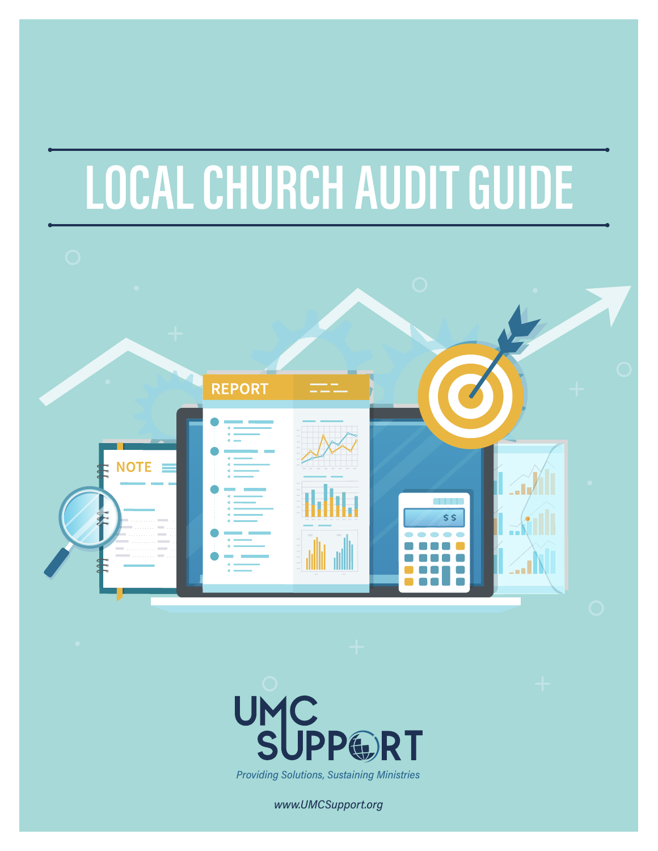# **LOCAL CHURCH AUDIT GUIDE**





*www.UMCSupport.org*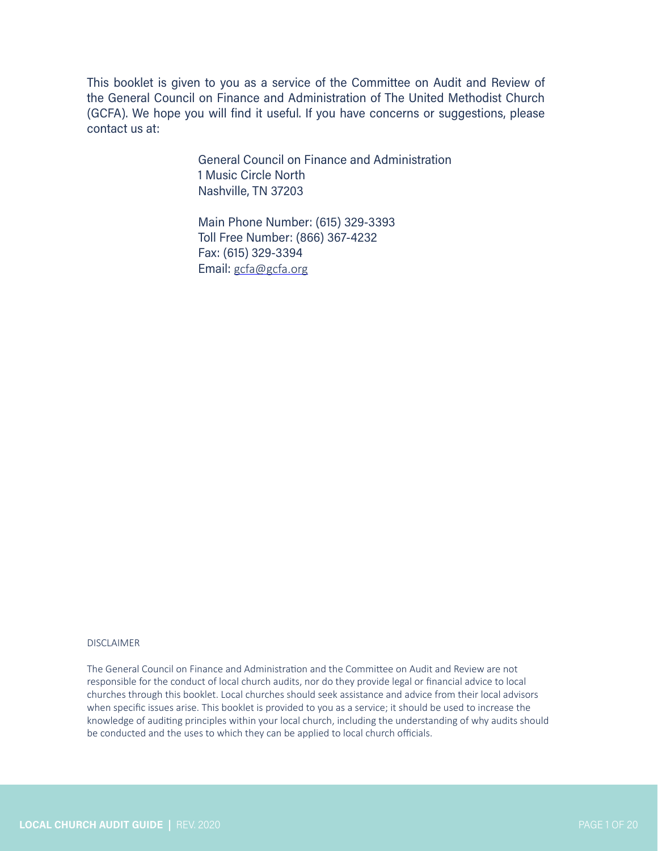This booklet is given to you as a service of the Committee on Audit and Review of the General Council on Finance and Administration of The United Methodist Church (GCFA). We hope you will find it useful. If you have concerns or suggestions, please contact us at:

> General Council on Finance and Administration 1 Music Circle North Nashville, TN 37203

Main Phone Number: (615) 329‐3393 Toll Free Number: (866) 367‐4232 Fax: (615) 329‐3394 Email: gcfa@gcfa.org

#### DISCLAIMER

The General Council on Finance and Administration and the Committee on Audit and Review are not responsible for the conduct of local church audits, nor do they provide legal or financial advice to local churches through this booklet. Local churches should seek assistance and advice from their local advisors when specific issues arise. This booklet is provided to you as a service; it should be used to increase the knowledge of auditing principles within your local church, including the understanding of why audits should be conducted and the uses to which they can be applied to local church officials.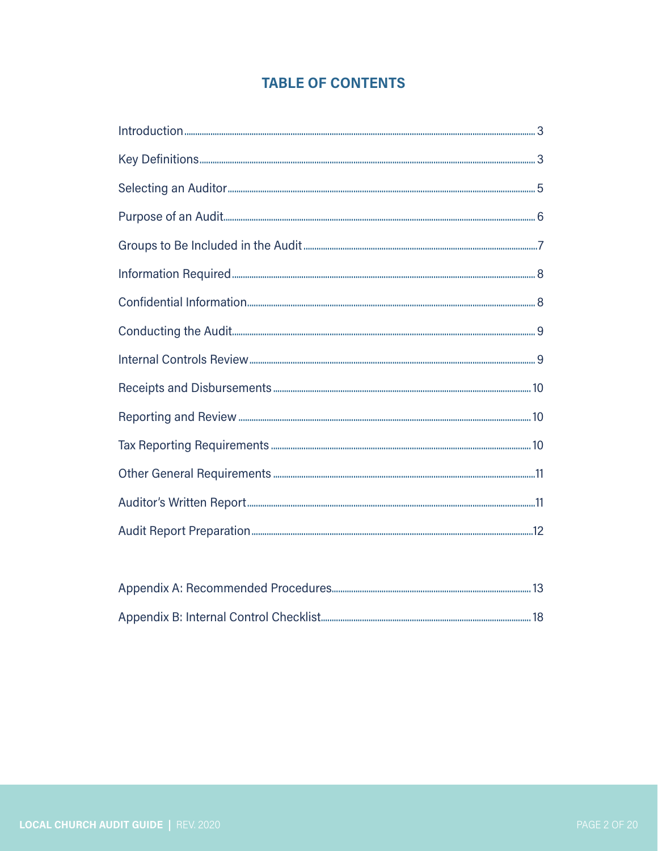## **TABLE OF CONTENTS**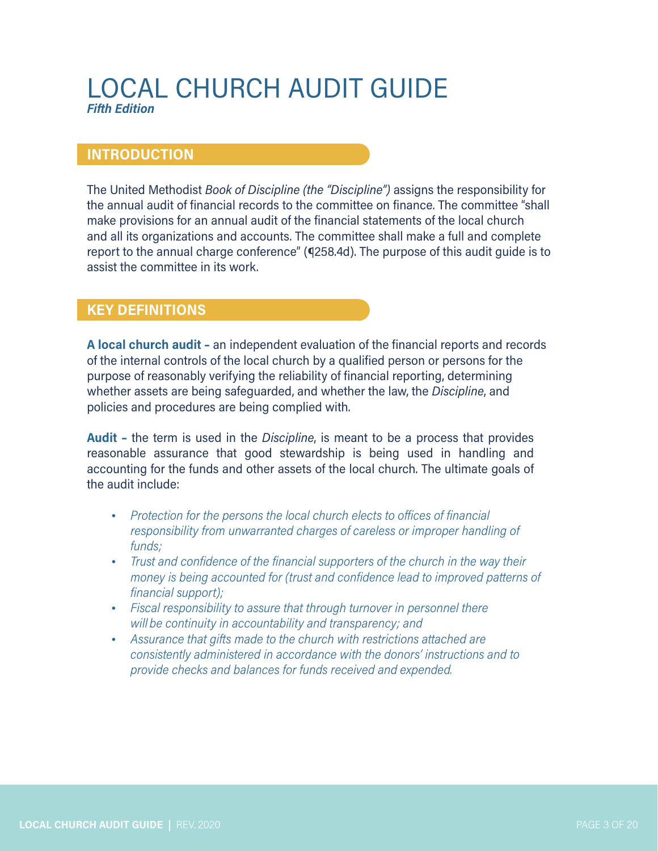## LOCAL CHURCH AUDIT GUIDE

*Fifth Edition*

#### **INTRODUCTION**

The United Methodist *Book of Discipline (the "Discipline")* assigns the responsibility for the annual audit of financial records to the committee on finance. The committee "shall make provisions for an annual audit of the financial statements of the local church and all its organizations and accounts. The committee shall make a full and complete report to the annual charge conference" (¶258.4d). The purpose of this audit guide is to assist the committee in its work.

## **KEY DEFINITIONS**

**A local church audit –** an independent evaluation of the financial reports and records of the internal controls of the local church by a qualified person or persons for the purpose of reasonably verifying the reliability of financial reporting, determining whether assets are being safeguarded, and whether the law, the *Discipline*, and policies and procedures are being complied with.

**Audit –** the term is used in the *Discipline*, is meant to be a process that provides reasonable assurance that good stewardship is being used in handling and accounting for the funds and other assets of the local church. The ultimate goals of the audit include:

- • *Protection for the persons the local church elects to offices of financial responsibility from unwarranted charges of careless or improper handling of funds;*
- • *Trust and confidence of the financial supporters of the church in the way their money is being accounted for (trust and confidence lead to improved patterns of financial support);*
- • *Fiscal responsibility to assure that through turnover in personnel there will be continuity in accountability and transparency; and*
- • *Assurance that gifts made to the church with restrictions attached are consistently administered in accordance with the donors' instructions and to provide checks and balances for funds received and expended.*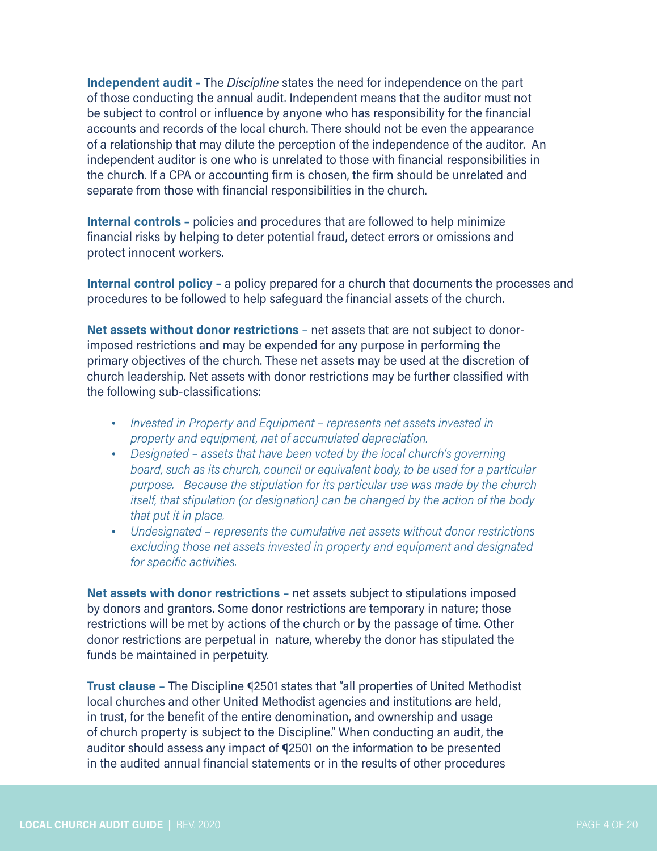**Independent audit –** The *Discipline* states the need for independence on the part of those conducting the annual audit. Independent means that the auditor must not be subject to control or influence by anyone who has responsibility for the financial accounts and records of the local church. There should not be even the appearance of a relationship that may dilute the perception of the independence of the auditor. An independent auditor is one who is unrelated to those with financial responsibilities in the church. If a CPA or accounting firm is chosen, the firm should be unrelated and separate from those with financial responsibilities in the church.

**Internal controls –** policies and procedures that are followed to help minimize financial risks by helping to deter potential fraud, detect errors or omissions and protect innocent workers.

**Internal control policy -** a policy prepared for a church that documents the processes and procedures to be followed to help safeguard the financial assets of the church.

**Net assets without donor restrictions** – net assets that are not subject to donorimposed restrictions and may be expended for any purpose in performing the primary objectives of the church. These net assets may be used at the discretion of church leadership. Net assets with donor restrictions may be further classified with the following sub-classifications:

- • *Invested in Property and Equipment represents net assets invested in property and equipment, net of accumulated depreciation.*
- *Designated assets that have been voted by the local church's governing board, such as its church, council or equivalent body, to be used for a particular purpose. Because the stipulation for its particular use was made by the church itself, that stipulation (or designation) can be changed by the action of the body that put it in place.*
- *Undesignated represents the cumulative net assets without donor restrictions excluding those net assets invested in property and equipment and designated for specific activities.*

**Net assets with donor restrictions** – net assets subject to stipulations imposed by donors and grantors. Some donor restrictions are temporary in nature; those restrictions will be met by actions of the church or by the passage of time. Other donor restrictions are perpetual in nature, whereby the donor has stipulated the funds be maintained in perpetuity.

**Trust clause** - The Discipline **42501** states that "all properties of United Methodist local churches and other United Methodist agencies and institutions are held, in trust, for the benefit of the entire denomination, and ownership and usage of church property is subject to the Discipline." When conducting an audit, the auditor should assess any impact of ¶2501 on the information to be presented in the audited annual financial statements or in the results of other procedures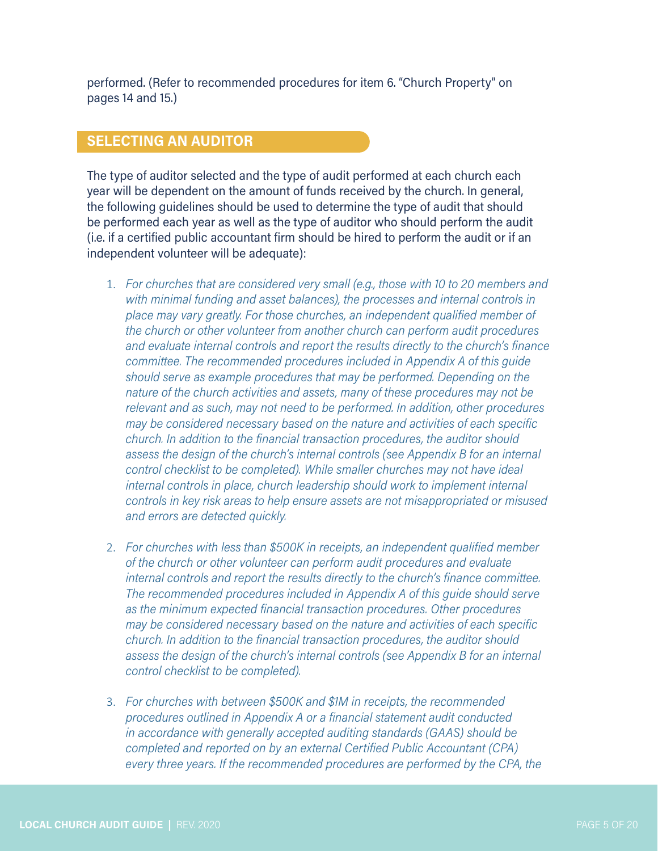performed. (Refer to recommended procedures for item 6. "Church Property" on pages 14 and 15.)

#### **SELECTING AN AUDITOR**

The type of auditor selected and the type of audit performed at each church each year will be dependent on the amount of funds received by the church. In general, the following guidelines should be used to determine the type of audit that should be performed each year as well as the type of auditor who should perform the audit (i.e. if a certified public accountant firm should be hired to perform the audit or if an independent volunteer will be adequate):

- 1. *For churches that are considered very small (e.g., those with 10 to 20 members and with minimal funding and asset balances), the processes and internal controls in place may vary greatly. For those churches, an independent qualified member of the church or other volunteer from another church can perform audit procedures and evaluate internal controls and report the results directly to the church's finance committee. The recommended procedures included in Appendix A of this guide should serve as example procedures that may be performed. Depending on the nature of the church activities and assets, many of these procedures may not be relevant and as such, may not need to be performed. In addition, other procedures may be considered necessary based on the nature and activities of each specific church. In addition to the financial transaction procedures, the auditor should assess the design of the church's internal controls (see Appendix B for an internal control checklist to be completed). While smaller churches may not have ideal internal controls in place, church leadership should work to implement internal controls in key risk areas to help ensure assets are not misappropriated or misused and errors are detected quickly.*
- 2. *For churches with less than \$500K in receipts, an independent qualified member of the church or other volunteer can perform audit procedures and evaluate internal controls and report the results directly to the church's finance committee. The recommended procedures included in Appendix A of this guide should serve as the minimum expected financial transaction procedures. Other procedures may be considered necessary based on the nature and activities of each specific church. In addition to the financial transaction procedures, the auditor should assess the design of the church's internal controls (see Appendix B for an internal control checklist to be completed).*
- 3. *For churches with between \$500K and \$1M in receipts, the recommended procedures outlined in Appendix A or a financial statement audit conducted in accordance with generally accepted auditing standards (GAAS) should be completed and reported on by an external Certified Public Accountant (CPA) every three years. If the recommended procedures are performed by the CPA, the*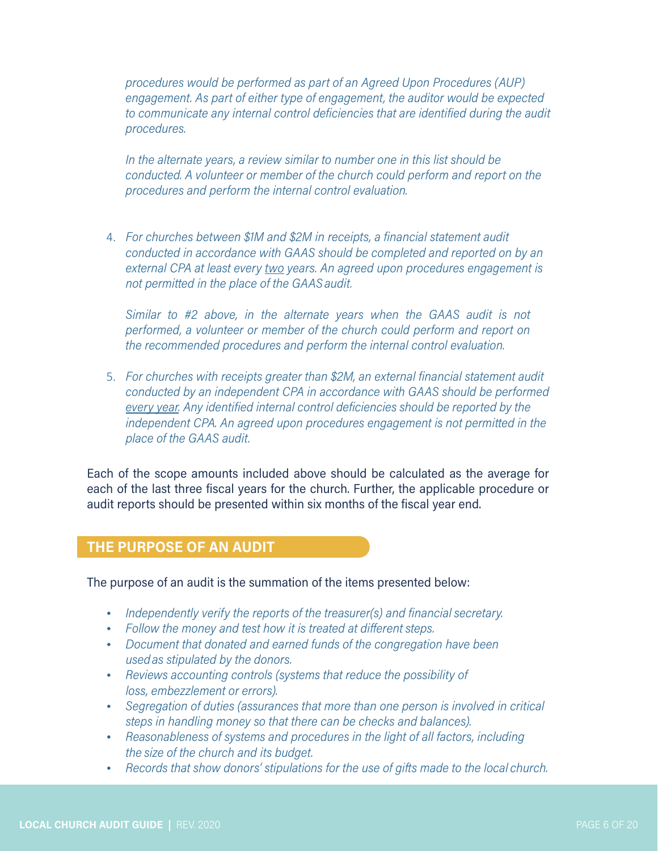*procedures would be performed as part of an Agreed Upon Procedures (AUP) engagement. As part of either type of engagement, the auditor would be expected to communicate any internal control deficiencies that are identified during the audit procedures.*

*In the alternate years, a review similar to number one in this list should be conducted. A volunteer or member of the church could perform and report on the procedures and perform the internal control evaluation.*

4. *For churches between \$1M and \$2M in receipts, a financial statement audit conducted in accordance with GAAS should be completed and reported on by an external CPA at least every two years. An agreed upon procedures engagement is not permitted in the place of the GAAS audit.*

*Similar to #2 above, in the alternate years when the GAAS audit is not performed, a volunteer or member of the church could perform and report on the recommended procedures and perform the internal control evaluation.*

5. *For churches with receipts greater than \$2M, an external financial statement audit conducted by an independent CPA in accordance with GAAS should be performed every year. Any identified internal control deficiencies should be reported by the independent CPA. An agreed upon procedures engagement is not permitted in the place of the GAAS audit.*

Each of the scope amounts included above should be calculated as the average for each of the last three fiscal years for the church. Further, the applicable procedure or audit reports should be presented within six months of the fiscal year end.

#### **THE PURPOSE OF AN AUDIT**

The purpose of an audit is the summation of the items presented below:

- • *Independently verify the reports of the treasurer(s) and financial secretary.*
- • *Follow the money and test how it is treated at different steps.*
- • *Document that donated and earned funds of the congregation have been used as stipulated by the donors.*
- • *Reviews accounting controls (systems that reduce the possibility of loss, embezzlement or errors).*
- Segregation of duties (assurances that more than one person is involved in critical *steps in handling money so that there can be checks and balances).*
- • *Reasonableness of systems and procedures in the light of all factors, including the size of the church and its budget.*
- • *Records that show donors' stipulations for the use of gifts made to the local church.*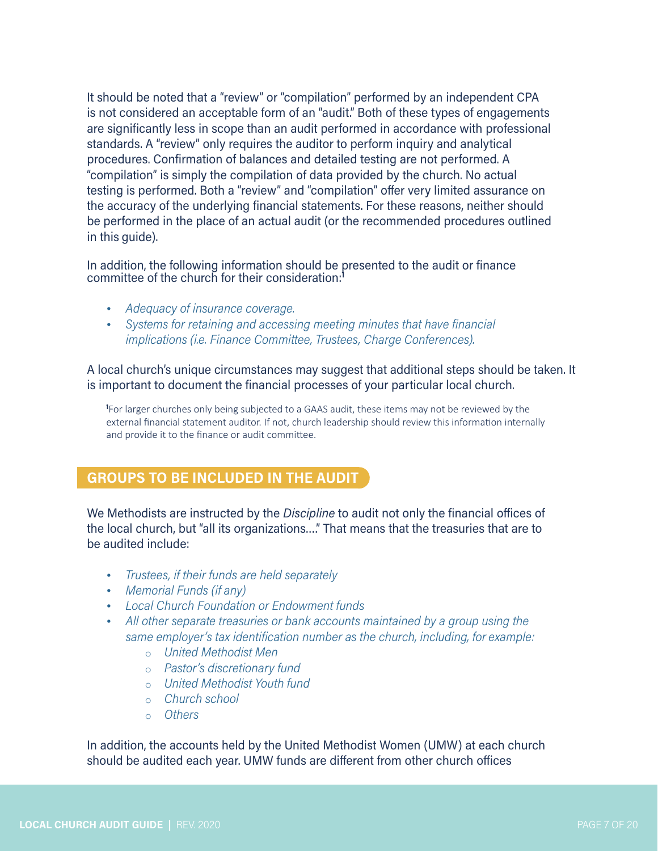It should be noted that a "review" or "compilation" performed by an independent CPA is not considered an acceptable form of an "audit." Both of these types of engagements are significantly less in scope than an audit performed in accordance with professional standards. A "review" only requires the auditor to perform inquiry and analytical procedures. Confirmation of balances and detailed testing are not performed. A "compilation" is simply the compilation of data provided by the church. No actual testing is performed. Both a "review" and "compilation" offer very limited assurance on the accuracy of the underlying financial statements. For these reasons, neither should be performed in the place of an actual audit (or the recommended procedures outlined in this guide).

In addition, the following information should be presented to the audit or finance committee of the church for their consideration:**<sup>1</sup>**

- • *Adequacy of insurance coverage.*
- • *Systems for retaining and accessing meeting minutes that have financial implications (i.e. Finance Committee, Trustees, Charge Conferences).*

A local church's unique circumstances may suggest that additional steps should be taken. It is important to document the financial processes of your particular local church.

**1** For larger churches only being subjected to a GAAS audit, these items may not be reviewed by the external financial statement auditor. If not, church leadership should review this information internally and provide it to the finance or audit committee.

#### **GROUPS TO BE INCLUDED IN THE AUDIT**

We Methodists are instructed by the *Discipline* to audit not only the financial offices of the local church, but "all its organizations…." That means that the treasuries that are to be audited include:

- • *Trustees, if their funds are held separately*
- • *Memorial Funds (if any)*
- • *Local Church Foundation or Endowment funds*
- • *All other separate treasuries or bank accounts maintained by a group using the same employer's tax identification number as the church, including, for example:*
	- o *United Methodist Men*
	- o *Pastor's discretionary fund*
	- o *United Methodist Youth fund*
	- o *Church school*
	- o *Others*

In addition, the accounts held by the United Methodist Women (UMW) at each church should be audited each year. UMW funds are different from other church offices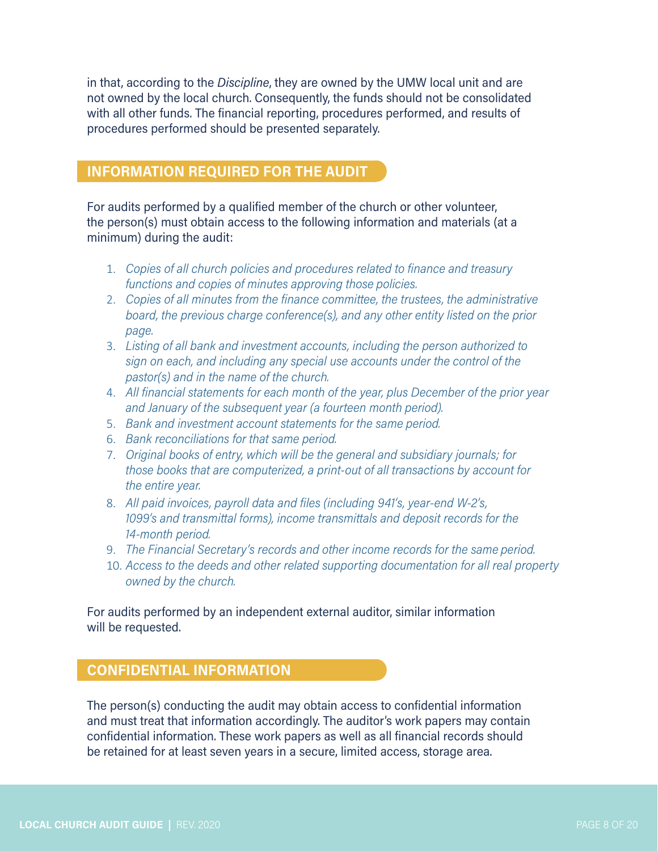in that, according to the *Discipline*, they are owned by the UMW local unit and are not owned by the local church. Consequently, the funds should not be consolidated with all other funds. The financial reporting, procedures performed, and results of procedures performed should be presented separately.

### **INFORMATION REQUIRED FOR THE AUDIT**

For audits performed by a qualified member of the church or other volunteer, the person(s) must obtain access to the following information and materials (at a minimum) during the audit:

- 1. *Copies of all church policies and procedures related to finance and treasury functions and copies of minutes approving those policies.*
- 2. *Copies of all minutes from the finance committee, the trustees, the administrative board, the previous charge conference(s), and any other entity listed on the prior page.*
- 3. *Listing of all bank and investment accounts, including the person authorized to sign on each, and including any special use accounts under the control of the pastor(s) and in the name of the church.*
- 4. *All financial statements for each month of the year, plus December of the prior year and January of the subsequent year (a fourteen month period).*
- 5. *Bank and investment account statements for the same period.*
- 6. *Bank reconciliations for that same period.*
- 7. *Original books of entry, which will be the general and subsidiary journals; for those books that are computerized, a print‐out of all transactions by account for the entire year.*
- 8. *All paid invoices, payroll data and files (including 941's, year‐end W‐2's, 1099's and transmittal forms), income transmittals and deposit records for the 14-month period.*
- 9. *The Financial Secretary's records and other income records for the same period.*
- 10. *Access to the deeds and other related supporting documentation for all real property owned by the church.*

For audits performed by an independent external auditor, similar information will be requested.

## **CONFIDENTIAL INFORMATION**

The person(s) conducting the audit may obtain access to confidential information and must treat that information accordingly. The auditor's work papers may contain confidential information. These work papers as well as all financial records should be retained for at least seven years in a secure, limited access, storage area.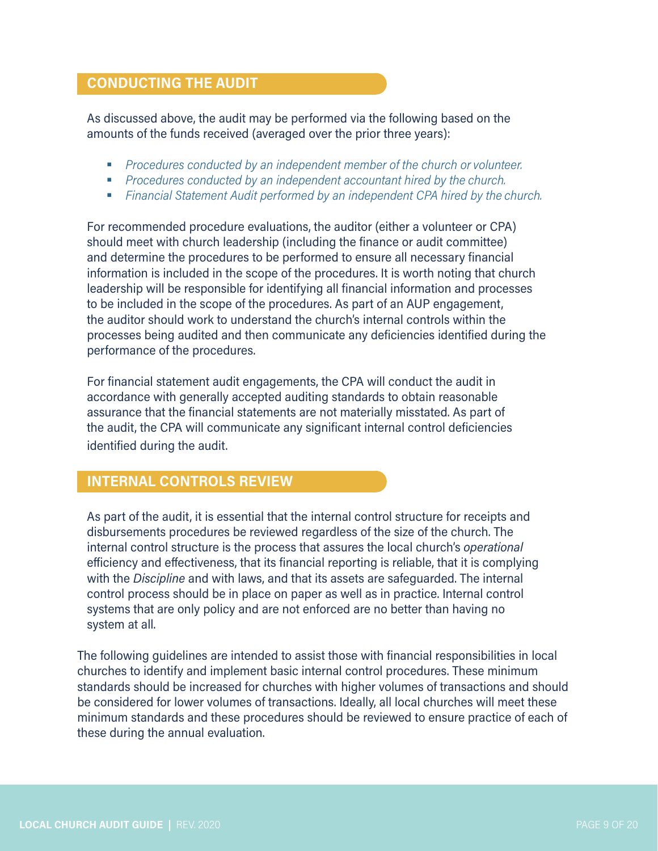#### **CONDUCTING THE AUDIT**

As discussed above, the audit may be performed via the following based on the amounts of the funds received (averaged over the prior three years):

- *Procedures conducted by an independent member of the church or volunteer.*
- *Procedures conducted by an independent accountant hired by the church.*
- *Financial Statement Audit performed by an independent CPA hired by the church.*

For recommended procedure evaluations, the auditor (either a volunteer or CPA) should meet with church leadership (including the finance or audit committee) and determine the procedures to be performed to ensure all necessary financial information is included in the scope of the procedures. It is worth noting that church leadership will be responsible for identifying all financial information and processes to be included in the scope of the procedures. As part of an AUP engagement, the auditor should work to understand the church's internal controls within the processes being audited and then communicate any deficiencies identified during the performance of the procedures.

For financial statement audit engagements, the CPA will conduct the audit in accordance with generally accepted auditing standards to obtain reasonable assurance that the financial statements are not materially misstated. As part of the audit, the CPA will communicate any significant internal control deficiencies identified during the audit.

#### **INTERNAL CONTROLS REVIEW**

As part of the audit, it is essential that the internal control structure for receipts and disbursements procedures be reviewed regardless of the size of the church. The internal control structure is the process that assures the local church's *operational*  efficiency and effectiveness, that its financial reporting is reliable, that it is complying with the *Discipline* and with laws, and that its assets are safeguarded. The internal control process should be in place on paper as well as in practice. Internal control systems that are only policy and are not enforced are no better than having no system at all.

The following guidelines are intended to assist those with financial responsibilities in local churches to identify and implement basic internal control procedures. These minimum standards should be increased for churches with higher volumes of transactions and should be considered for lower volumes of transactions. Ideally, all local churches will meet these minimum standards and these procedures should be reviewed to ensure practice of each of these during the annual evaluation.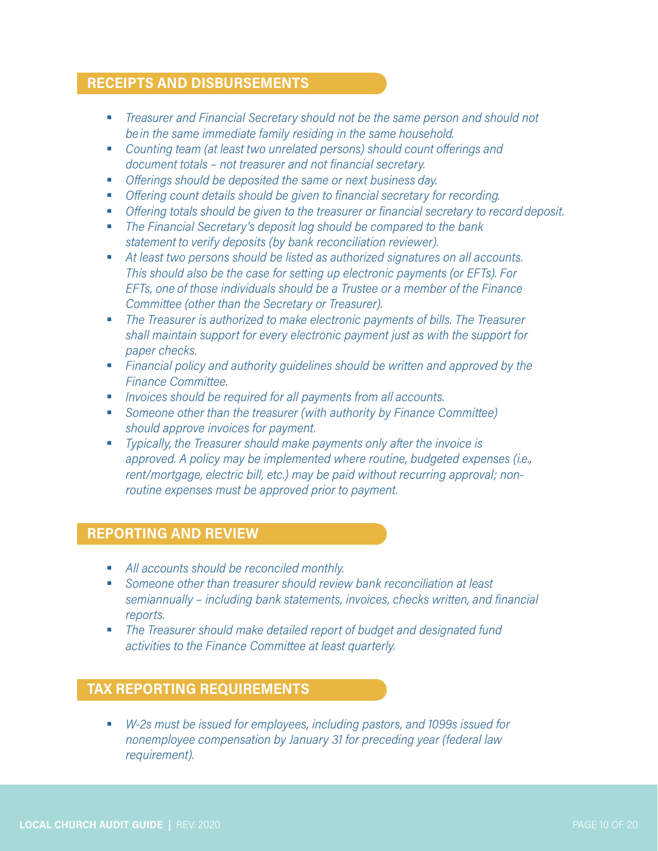#### **RECEIPTS AND DISBURSEMENTS**

- *Treasurer and Financial Secretary should not be the same person and should not be in the same immediate family residing in the same household.*
- *Counting team (at least two unrelated persons) should count offerings and document totals – not treasurer and not financial secretary.*
- *Offerings should be deposited the same or next business day.*
- *Offering count details should be given to financial secretary for recording.*
- *Offering totals should be given to the treasurer or financial secretary to record deposit.*
- *The Financial Secretary's deposit log should be compared to the bank statement to verify deposits (by bank reconciliation reviewer).*
- *At least two persons should be listed as authorized signatures on all accounts. This should also be the case for setting up electronic payments (or EFTs). For EFTs, one of those individuals should be a Trustee or a member of the Finance Committee (other than the Secretary or Treasurer).*
- *The Treasurer is authorized to make electronic payments of bills. The Treasurer shall maintain support for every electronic payment just as with the support for paper checks.*
- **Financial policy and authority guidelines should be written and approved by the** *Finance Committee.*
- *Invoices should be required for all payments from all accounts.*
- *Someone other than the treasurer (with authority by Finance Committee) should approve invoices for payment.*
- *Typically, the Treasurer should make payments only after the invoice is approved. A policy may be implemented where routine, budgeted expenses (i.e., rent/mortgage, electric bill, etc.) may be paid without recurring approval; non‐ routine expenses must be approved prior to payment.*

#### **REPORTING AND REVIEW**

- *All accounts should be reconciled monthly.*
- *Someone other than treasurer should review bank reconciliation at least semiannually – including bank statements, invoices, checks written, and financial reports.*
- *The Treasurer should make detailed report of budget and designated fund activities to the Finance Committee at least quarterly.*

## **TAX REPORTING REQUIREMENTS**

 *W‐2s must be issued for employees, including pastors, and 1099s issued for nonemployee compensation by January 31 for preceding year (federal law requirement).*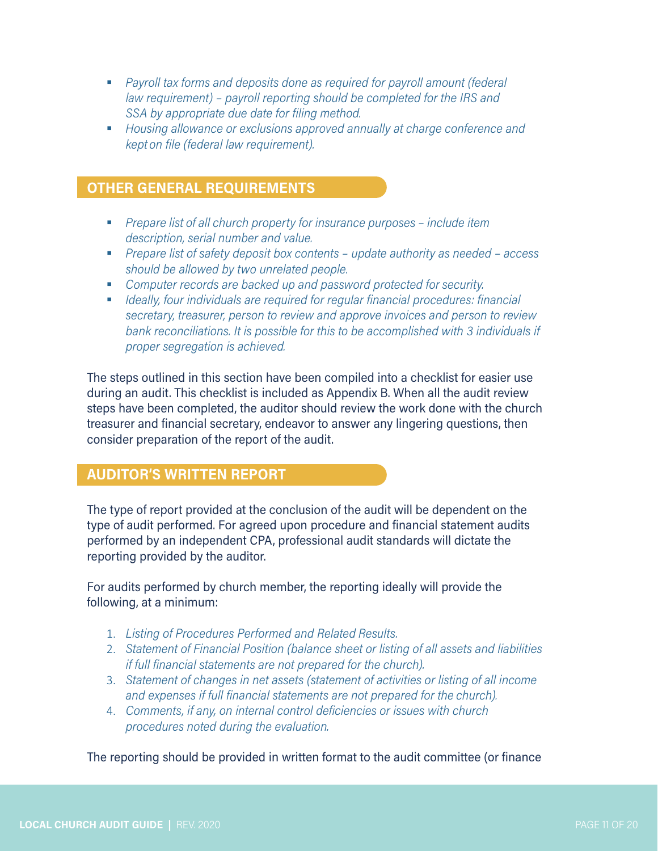- *Payroll tax forms and deposits done as required for payroll amount (federal law requirement) – payroll reporting should be completed for the IRS and SSA by appropriate due date for filing method.*
- *Housing allowance or exclusions approved annually at charge conference and kept on file (federal law requirement).*

#### **OTHER GENERAL REQUIREMENTS**

- *Prepare list of all church property for insurance purposes include item description, serial number and value.*
- *Prepare list of safety deposit box contents update authority as needed access should be allowed by two unrelated people.*
- *Computer records are backed up and password protected for security.*
- *Ideally, four individuals are required for regular financial procedures: financial secretary, treasurer, person to review and approve invoices and person to review bank reconciliations. It is possible for this to be accomplished with 3 individuals if proper segregation is achieved.*

The steps outlined in this section have been compiled into a checklist for easier use during an audit. This checklist is included as Appendix B. When all the audit review steps have been completed, the auditor should review the work done with the church treasurer and financial secretary, endeavor to answer any lingering questions, then consider preparation of the report of the audit.

#### **AUDITOR'S WRITTEN REPORT**

The type of report provided at the conclusion of the audit will be dependent on the type of audit performed. For agreed upon procedure and financial statement audits performed by an independent CPA, professional audit standards will dictate the reporting provided by the auditor.

For audits performed by church member, the reporting ideally will provide the following, at a minimum:

- 1. *Listing of Procedures Performed and Related Results.*
- 2. *Statement of Financial Position (balance sheet or listing of all assets and liabilities if full financial statements are not prepared for the church).*
- 3. *Statement of changes in net assets (statement of activities or listing of all income and expenses if full financial statements are not prepared for the church).*
- 4. *Comments, if any, on internal control deficiencies or issues with church procedures noted during the evaluation.*

The reporting should be provided in written format to the audit committee (or finance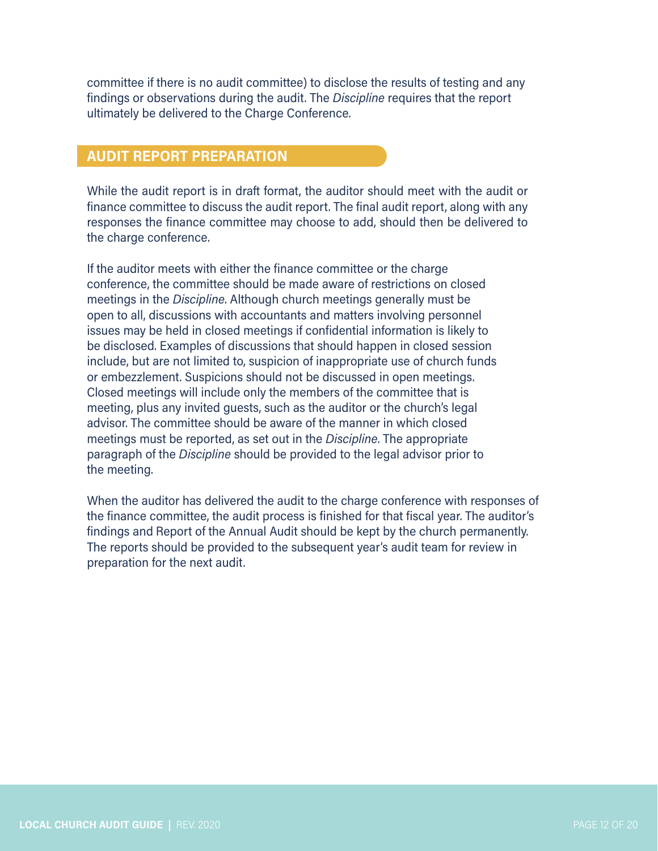committee if there is no audit committee) to disclose the results of testing and any findings or observations during the audit. The *Discipline* requires that the report ultimately be delivered to the Charge Conference.

#### **AUDIT REPORT PREPARATION**

While the audit report is in draft format, the auditor should meet with the audit or finance committee to discuss the audit report. The final audit report, along with any responses the finance committee may choose to add, should then be delivered to the charge conference.

If the auditor meets with either the finance committee or the charge conference, the committee should be made aware of restrictions on closed meetings in the *Discipline*. Although church meetings generally must be open to all, discussions with accountants and matters involving personnel issues may be held in closed meetings if confidential information is likely to be disclosed. Examples of discussions that should happen in closed session include, but are not limited to, suspicion of inappropriate use of church funds or embezzlement. Suspicions should not be discussed in open meetings. Closed meetings will include only the members of the committee that is meeting, plus any invited guests, such as the auditor or the church's legal advisor. The committee should be aware of the manner in which closed meetings must be reported, as set out in the *Discipline*. The appropriate paragraph of the *Discipline* should be provided to the legal advisor prior to the meeting.

When the auditor has delivered the audit to the charge conference with responses of the finance committee, the audit process is finished for that fiscal year. The auditor's findings and Report of the Annual Audit should be kept by the church permanently. The reports should be provided to the subsequent year's audit team for review in preparation for the next audit.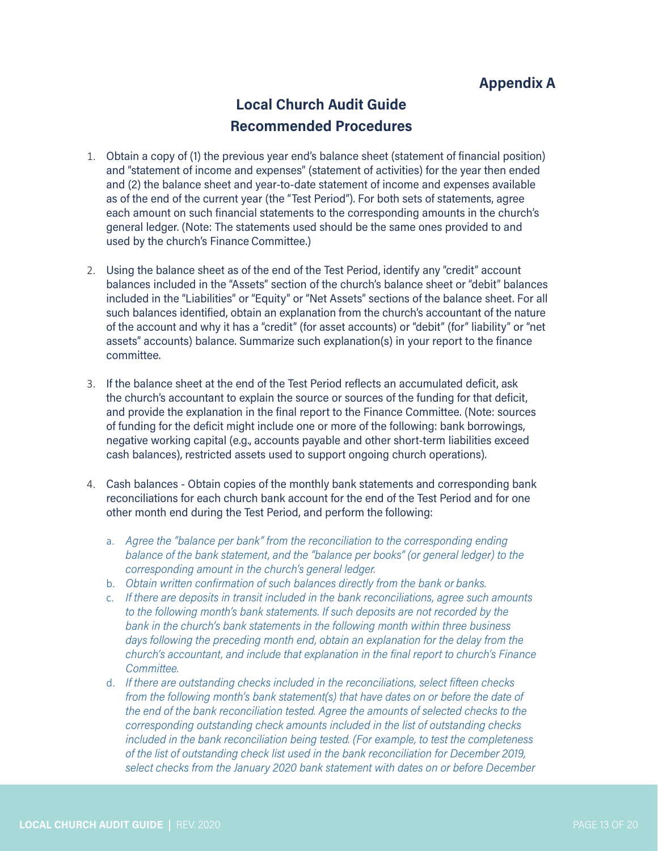## **Appendix A**

## **Local Church Audit Guide Recommended Procedures**

- 1. Obtain a copy of (1) the previous year end's balance sheet (statement of financial position) and "statement of income and expenses" (statement of activities) for the year then ended and (2) the balance sheet and year-to-date statement of income and expenses available as of the end of the current year (the "Test Period"). For both sets of statements, agree each amount on such financial statements to the corresponding amounts in the church's general ledger. (Note: The statements used should be the same ones provided to and used by the church's Finance Committee.)
- 2. Using the balance sheet as of the end of the Test Period, identify any "credit" account balances included in the "Assets" section of the church's balance sheet or "debit" balances included in the "Liabilities" or "Equity" or "Net Assets" sections of the balance sheet. For all such balances identified, obtain an explanation from the church's accountant of the nature of the account and why it has a "credit" (for asset accounts) or "debit" (for" liability" or "net assets" accounts) balance. Summarize such explanation(s) in your report to the finance committee.
- 3. If the balance sheet at the end of the Test Period reflects an accumulated deficit, ask the church's accountant to explain the source or sources of the funding for that deficit, and provide the explanation in the final report to the Finance Committee. (Note: sources of funding for the deficit might include one or more of the following: bank borrowings, negative working capital (e.g., accounts payable and other short‐term liabilities exceed cash balances), restricted assets used to support ongoing church operations).
- 4. Cash balances ‐ Obtain copies of the monthly bank statements and corresponding bank reconciliations for each church bank account for the end of the Test Period and for one other month end during the Test Period, and perform the following:
	- a. *Agree the "balance per bank" from the reconciliation to the corresponding ending balance of the bank statement, and the "balance per books" (or general ledger) to the corresponding amount in the church's general ledger.*
	- b. *Obtain written confirmation of such balances directly from the bank or banks.*
	- c. *If there are deposits in transit included in the bank reconciliations, agree such amounts to the following month's bank statements. If such deposits are not recorded by the bank in the church's bank statements in the following month within three business days following the preceding month end, obtain an explanation for the delay from the church's accountant, and include that explanation in the final report to church's Finance Committee.*
	- d. *If there are outstanding checks included in the reconciliations, select fifteen checks from the following month's bank statement(s) that have dates on or before the date of the end of the bank reconciliation tested. Agree the amounts of selected checks to the corresponding outstanding check amounts included in the list of outstanding checks included in the bank reconciliation being tested. (For example, to test the completeness of the list of outstanding check list used in the bank reconciliation for December 2019, select checks from the January 2020 bank statement with dates on or before December*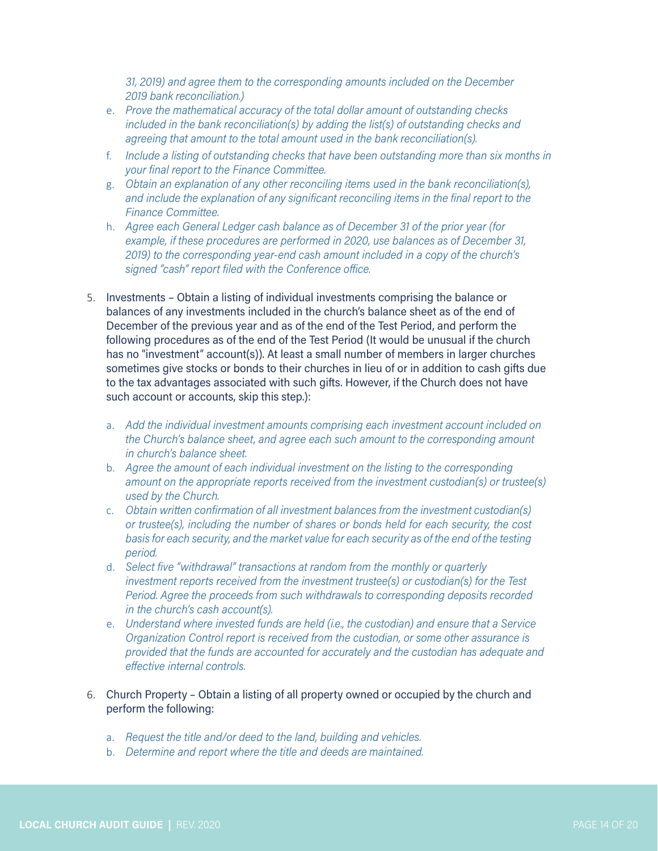*31, 2019) and agree them to the corresponding amounts included on the December 2019 bank reconciliation.)*

- e. *Prove the mathematical accuracy of the total dollar amount of outstanding checks included in the bank reconciliation(s) by adding the list(s) of outstanding checks and agreeing that amount to the total amount used in the bank reconciliation(s).*
- f. *Include a listing of outstanding checks that have been outstanding more than six months in your final report to the Finance Committee.*
- g. *Obtain an explanation of any other reconciling items used in the bank reconciliation(s), and include the explanation of any significant reconciling items in the final report to the Finance Committee.*
- h. *Agree each General Ledger cash balance as of December 31 of the prior year (for example, if these procedures are performed in 2020, use balances as of December 31, 2019) to the corresponding year‐end cash amount included in a copy of the church's signed "cash" report filed with the Conference office.*
- 5. Investments Obtain a listing of individual investments comprising the balance or balances of any investments included in the church's balance sheet as of the end of December of the previous year and as of the end of the Test Period, and perform the following procedures as of the end of the Test Period (It would be unusual if the church has no "investment" account(s)). At least a small number of members in larger churches sometimes give stocks or bonds to their churches in lieu of or in addition to cash gifts due to the tax advantages associated with such gifts. However, if the Church does not have such account or accounts, skip this step.):
	- a. *Add the individual investment amounts comprising each investment account included on the Church's balance sheet, and agree each such amount to the corresponding amount in church's balance sheet.*
	- b. *Agree the amount of each individual investment on the listing to the corresponding amount on the appropriate reports received from the investment custodian(s) or trustee(s) used by the Church.*
	- c. *Obtain written confirmation of all investment balances from the investment custodian(s) or trustee(s), including the number of shares or bonds held for each security, the cost basis for each security, and the market value for each security as of the end of the testing period.*
	- d. *Select five "withdrawal" transactions at random from the monthly or quarterly investment reports received from the investment trustee(s) or custodian(s) for the Test Period. Agree the proceeds from such withdrawals to corresponding deposits recorded in the church's cash account(s).*
	- e. *Understand where invested funds are held (i.e., the custodian) and ensure that a Service Organization Control report is received from the custodian, or some other assurance is provided that the funds are accounted for accurately and the custodian has adequate and effective internal controls.*
- 6. Church Property Obtain a listing of all property owned or occupied by the church and perform the following:
	- a. *Request the title and/or deed to the land, building and vehicles.*
	- b. *Determine and report where the title and deeds are maintained.*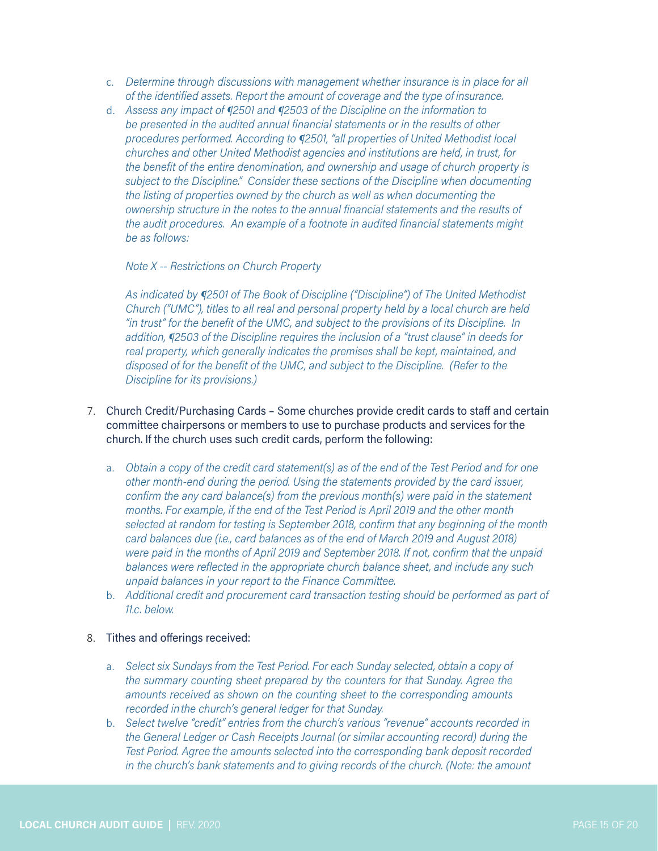- c. *Determine through discussions with management whether insurance is in place for all of the identified assets. Report the amount of coverage and the type of insurance.*
- d. *Assess any impact of ¶2501 and ¶2503 of the Discipline on the information to be presented in the audited annual financial statements or in the results of other procedures performed. According to ¶2501, "all properties of United Methodist local churches and other United Methodist agencies and institutions are held, in trust, for the benefit of the entire denomination, and ownership and usage of church property is subject to the Discipline." Consider these sections of the Discipline when documenting the listing of properties owned by the church as well as when documenting the ownership structure in the notes to the annual financial statements and the results of the audit procedures. An example of a footnote in audited financial statements might be as follows:*

#### *Note X -- Restrictions on Church Property*

*As indicated by ¶2501 of The Book of Discipline ("Discipline") of The United Methodist Church ("UMC"), titles to all real and personal property held by a local church are held "in trust" for the benefit of the UMC, and subject to the provisions of its Discipline. In addition, ¶2503 of the Discipline requires the inclusion of a "trust clause" in deeds for real property, which generally indicates the premises shall be kept, maintained, and disposed of for the benefit of the UMC, and subject to the Discipline. (Refer to the Discipline for its provisions.)*

- 7. Church Credit/Purchasing Cards Some churches provide credit cards to staff and certain committee chairpersons or members to use to purchase products and services for the church. If the church uses such credit cards, perform the following:
	- a. *Obtain a copy of the credit card statement(s) as of the end of the Test Period and for one other month‐end during the period. Using the statements provided by the card issuer, confirm the any card balance(s) from the previous month(s) were paid in the statement months. For example, if the end of the Test Period is April 2019 and the other month selected at random for testing is September 2018, confirm that any beginning of the month card balances due (i.e., card balances as of the end of March 2019 and August 2018) were paid in the months of April 2019 and September 2018. If not, confirm that the unpaid balances were reflected in the appropriate church balance sheet, and include any such unpaid balances in your report to the Finance Committee.*
	- b. *Additional credit and procurement card transaction testing should be performed as part of 11.c. below.*

#### 8. Tithes and offerings received:

- a. *Select six Sundays from the Test Period. For each Sunday selected, obtain a copy of the summary counting sheet prepared by the counters for that Sunday. Agree the amounts received as shown on the counting sheet to the corresponding amounts recorded in the church's general ledger for that Sunday.*
- b. *Select twelve "credit" entries from the church's various "revenue" accounts recorded in the General Ledger or Cash Receipts Journal (or similar accounting record) during the Test Period. Agree the amounts selected into the corresponding bank deposit recorded in the church's bank statements and to giving records of the church. (Note: the amount*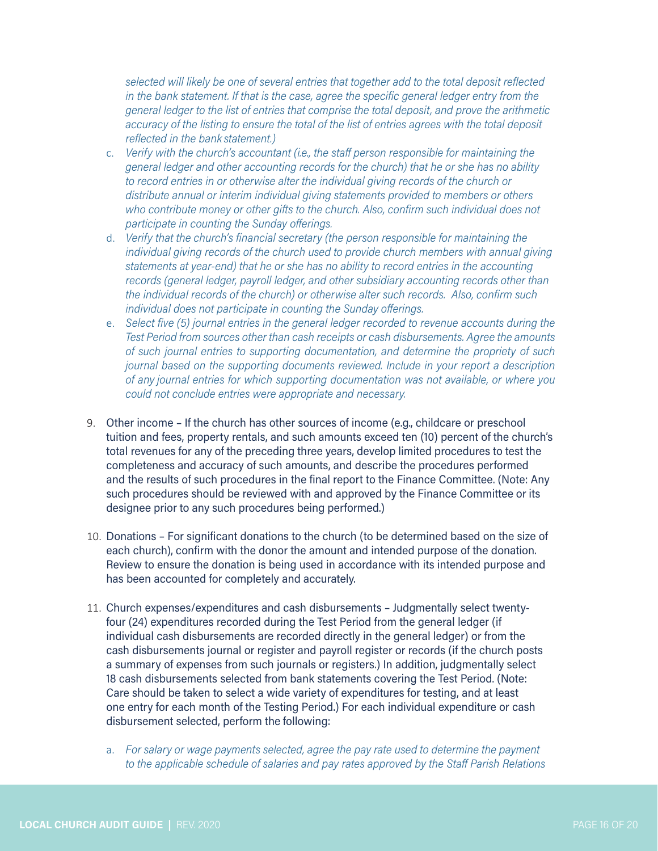*selected will likely be one of several entries that together add to the total deposit reflected in the bank statement. If that is the case, agree the specific general ledger entry from the general ledger to the list of entries that comprise the total deposit, and prove the arithmetic accuracy of the listing to ensure the total of the list of entries agrees with the total deposit reflected in the bank statement.)*

- c. *Verify with the church's accountant (i.e., the staff person responsible for maintaining the general ledger and other accounting records for the church) that he or she has no ability to record entries in or otherwise alter the individual giving records of the church or distribute annual or interim individual giving statements provided to members or others who contribute money or other gifts to the church. Also, confirm such individual does not participate in counting the Sunday offerings.*
- d. *Verify that the church's financial secretary (the person responsible for maintaining the individual giving records of the church used to provide church members with annual giving statements at year‐end) that he or she has no ability to record entries in the accounting records (general ledger, payroll ledger, and other subsidiary accounting records other than the individual records of the church) or otherwise alter such records. Also, confirm such individual does not participate in counting the Sunday offerings.*
- e. *Select five (5) journal entries in the general ledger recorded to revenue accounts during the Test Period from sources other than cash receipts or cash disbursements. Agree the amounts of such journal entries to supporting documentation, and determine the propriety of such journal based on the supporting documents reviewed. Include in your report a description of any journal entries for which supporting documentation was not available, or where you could not conclude entries were appropriate and necessary.*
- 9. Other income If the church has other sources of income (e.g., childcare or preschool tuition and fees, property rentals, and such amounts exceed ten (10) percent of the church's total revenues for any of the preceding three years, develop limited procedures to test the completeness and accuracy of such amounts, and describe the procedures performed and the results of such procedures in the final report to the Finance Committee. (Note: Any such procedures should be reviewed with and approved by the Finance Committee or its designee prior to any such procedures being performed.)
- 10. Donations For significant donations to the church (to be determined based on the size of each church), confirm with the donor the amount and intended purpose of the donation. Review to ensure the donation is being used in accordance with its intended purpose and has been accounted for completely and accurately.
- 11. Church expenses/expenditures and cash disbursements Judgmentally select twenty‐ four (24) expenditures recorded during the Test Period from the general ledger (if individual cash disbursements are recorded directly in the general ledger) or from the cash disbursements journal or register and payroll register or records (if the church posts a summary of expenses from such journals or registers.) In addition, judgmentally select 18 cash disbursements selected from bank statements covering the Test Period. (Note: Care should be taken to select a wide variety of expenditures for testing, and at least one entry for each month of the Testing Period.) For each individual expenditure or cash disbursement selected, perform the following:
	- a. *For salary or wage payments selected, agree the pay rate used to determine the payment to the applicable schedule of salaries and pay rates approved by the Staff Parish Relations*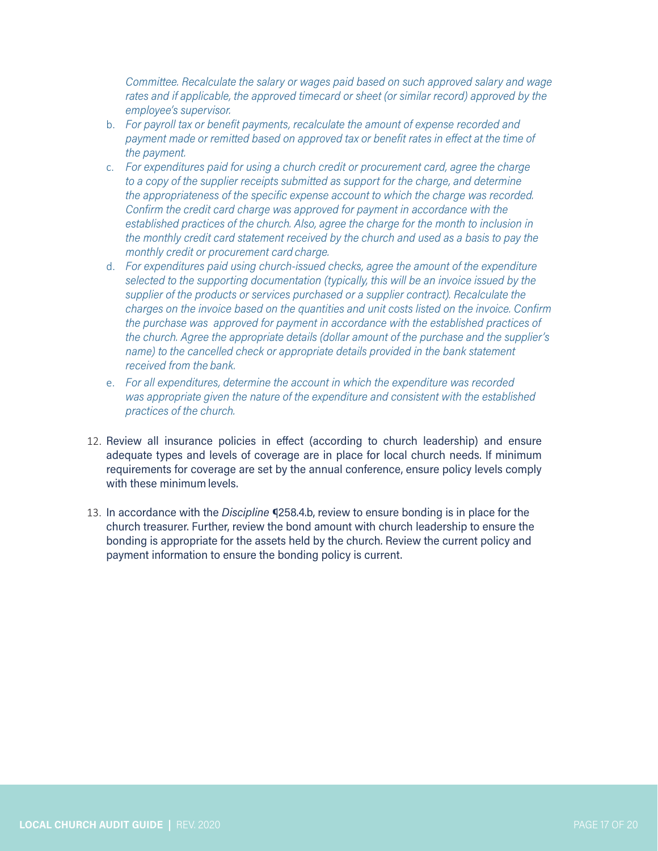*Committee. Recalculate the salary or wages paid based on such approved salary and wage rates and if applicable, the approved timecard or sheet (or similar record) approved by the employee's supervisor.*

- b. *For payroll tax or benefit payments, recalculate the amount of expense recorded and payment made or remitted based on approved tax or benefit rates in effect at the time of the payment.*
- c. *For expenditures paid for using a church credit or procurement card, agree the charge to a copy of the supplier receipts submitted as support for the charge, and determine the appropriateness of the specific expense account to which the charge was recorded. Confirm the credit card charge was approved for payment in accordance with the established practices of the church. Also, agree the charge for the month to inclusion in the monthly credit card statement received by the church and used as a basis to pay the monthly credit or procurement card charge.*
- d. *For expenditures paid using church‐issued checks, agree the amount of the expenditure selected to the supporting documentation (typically, this will be an invoice issued by the supplier of the products or services purchased or a supplier contract). Recalculate the charges on the invoice based on the quantities and unit costs listed on the invoice. Confirm the purchase was approved for payment in accordance with the established practices of the church. Agree the appropriate details (dollar amount of the purchase and the supplier's name)* to the cancelled check or appropriate details provided in the bank statement *received from the bank.*
- e. *For all expenditures, determine the account in which the expenditure was recorded was appropriate given the nature of the expenditure and consistent with the established practices of the church.*
- 12. Review all insurance policies in effect (according to church leadership) and ensure adequate types and levels of coverage are in place for local church needs. If minimum requirements for coverage are set by the annual conference, ensure policy levels comply with these minimum levels.
- 13. In accordance with the *Discipline* ¶258.4.b, review to ensure bonding is in place for the church treasurer. Further, review the bond amount with church leadership to ensure the bonding is appropriate for the assets held by the church. Review the current policy and payment information to ensure the bonding policy is current.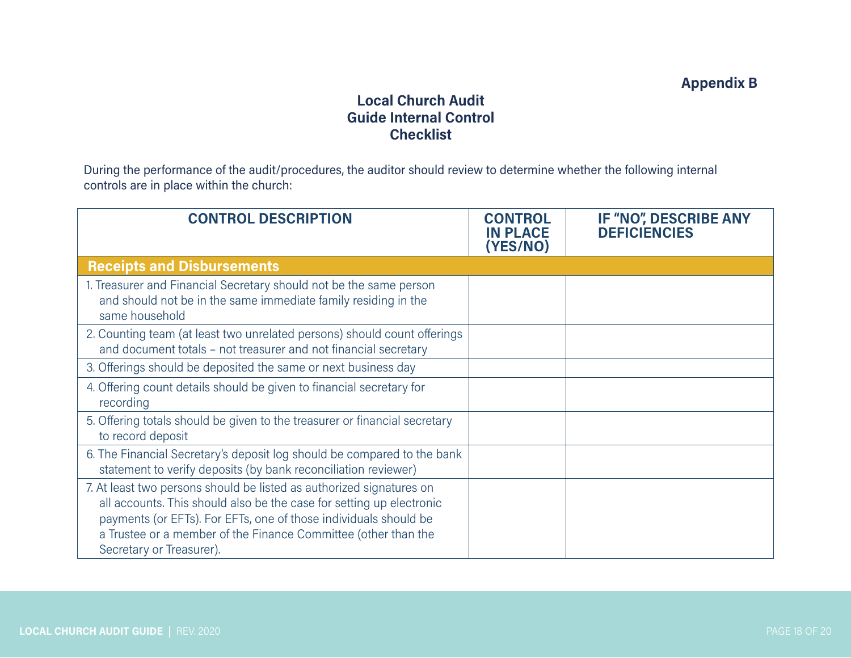## **Appendix B**

## **Local Church Audit Guide Internal Control Checklist**

During the performance of the audit/procedures, the auditor should review to determine whether the following internal controls are in place within the church:

| <b>CONTROL DESCRIPTION</b>                                                                                                                                                                                                                                                                                     | <b>CONTROL</b><br><b>IN PLACE</b><br>(YES/NO) | <b>IF "NO", DESCRIBE ANY</b><br><b>DEFICIENCIES</b> |
|----------------------------------------------------------------------------------------------------------------------------------------------------------------------------------------------------------------------------------------------------------------------------------------------------------------|-----------------------------------------------|-----------------------------------------------------|
| <b>Receipts and Disbursements</b>                                                                                                                                                                                                                                                                              |                                               |                                                     |
| 1. Treasurer and Financial Secretary should not be the same person<br>and should not be in the same immediate family residing in the<br>same household                                                                                                                                                         |                                               |                                                     |
| 2. Counting team (at least two unrelated persons) should count offerings<br>and document totals - not treasurer and not financial secretary                                                                                                                                                                    |                                               |                                                     |
| 3. Offerings should be deposited the same or next business day                                                                                                                                                                                                                                                 |                                               |                                                     |
| 4. Offering count details should be given to financial secretary for<br>recording                                                                                                                                                                                                                              |                                               |                                                     |
| 5. Offering totals should be given to the treasurer or financial secretary<br>to record deposit                                                                                                                                                                                                                |                                               |                                                     |
| 6. The Financial Secretary's deposit log should be compared to the bank<br>statement to verify deposits (by bank reconciliation reviewer)                                                                                                                                                                      |                                               |                                                     |
| 7. At least two persons should be listed as authorized signatures on<br>all accounts. This should also be the case for setting up electronic<br>payments (or EFTs). For EFTs, one of those individuals should be<br>a Trustee or a member of the Finance Committee (other than the<br>Secretary or Treasurer). |                                               |                                                     |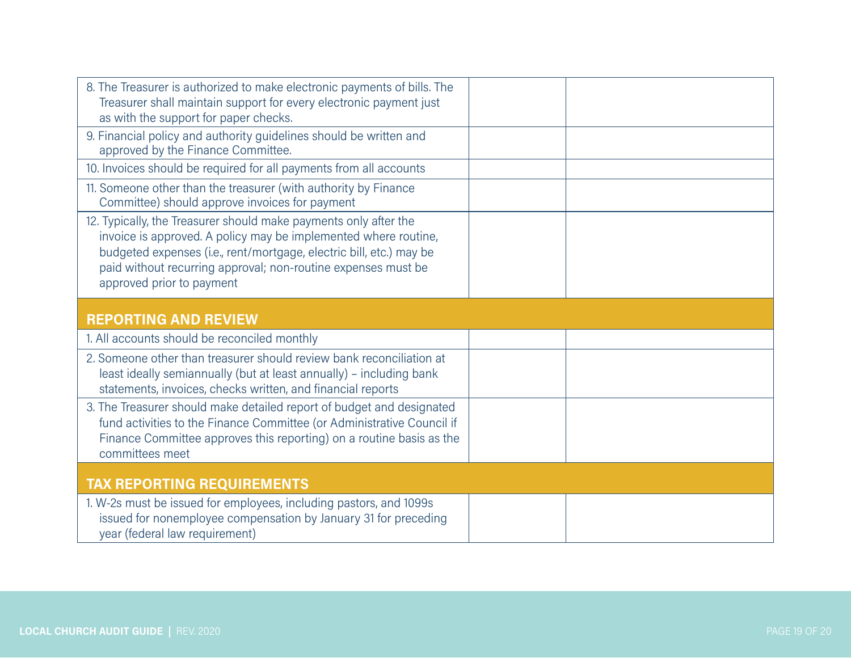| 8. The Treasurer is authorized to make electronic payments of bills. The<br>Treasurer shall maintain support for every electronic payment just<br>as with the support for paper checks.                                                                                                                  |  |
|----------------------------------------------------------------------------------------------------------------------------------------------------------------------------------------------------------------------------------------------------------------------------------------------------------|--|
| 9. Financial policy and authority guidelines should be written and<br>approved by the Finance Committee.                                                                                                                                                                                                 |  |
| 10. Invoices should be required for all payments from all accounts                                                                                                                                                                                                                                       |  |
| 11. Someone other than the treasurer (with authority by Finance<br>Committee) should approve invoices for payment                                                                                                                                                                                        |  |
| 12. Typically, the Treasurer should make payments only after the<br>invoice is approved. A policy may be implemented where routine,<br>budgeted expenses (i.e., rent/mortgage, electric bill, etc.) may be<br>paid without recurring approval; non-routine expenses must be<br>approved prior to payment |  |
| <b>REPORTING AND REVIEW</b>                                                                                                                                                                                                                                                                              |  |
| 1. All accounts should be reconciled monthly                                                                                                                                                                                                                                                             |  |
| 2. Someone other than treasurer should review bank reconciliation at<br>least ideally semiannually (but at least annually) - including bank<br>statements, invoices, checks written, and financial reports                                                                                               |  |
| 3. The Treasurer should make detailed report of budget and designated<br>fund activities to the Finance Committee (or Administrative Council if<br>Finance Committee approves this reporting) on a routine basis as the<br>committees meet                                                               |  |
| <b>TAX REPORTING REQUIREMENTS</b>                                                                                                                                                                                                                                                                        |  |
| 1. W-2s must be issued for employees, including pastors, and 1099s<br>issued for nonemployee compensation by January 31 for preceding<br>year (federal law requirement)                                                                                                                                  |  |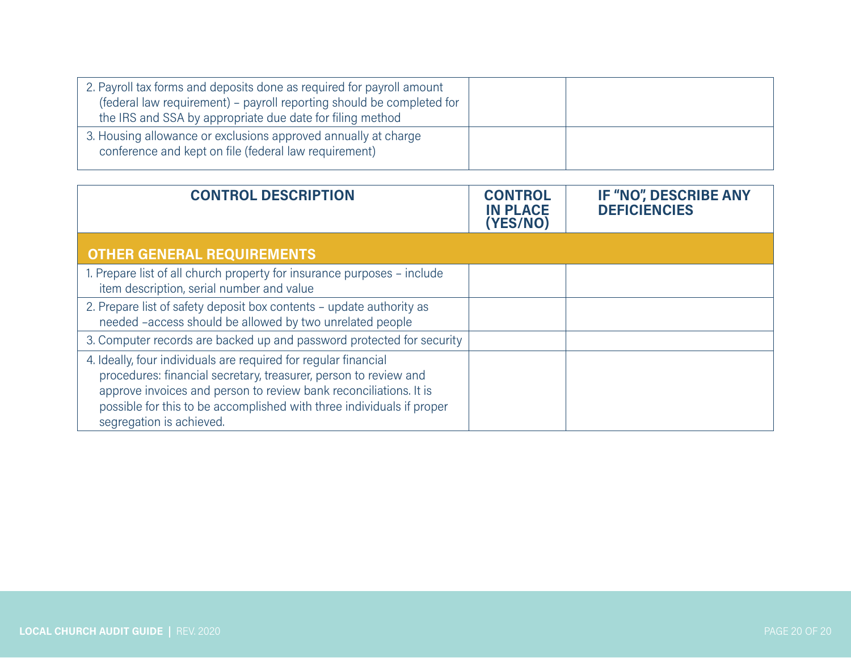| 2. Payroll tax forms and deposits done as required for payroll amount<br>(federal law requirement) - payroll reporting should be completed for<br>the IRS and SSA by appropriate due date for filing method |  |
|-------------------------------------------------------------------------------------------------------------------------------------------------------------------------------------------------------------|--|
| 3. Housing allowance or exclusions approved annually at charge<br>conference and kept on file (federal law requirement)                                                                                     |  |

| <b>CONTROL DESCRIPTION</b>                                                                                                                                                                                                                                                                                    | <b>CONTROL</b><br><b>IN PLACE</b><br>(YES/NO) | <b>IF "NO", DESCRIBE ANY</b><br><b>DEFICIENCIES</b> |
|---------------------------------------------------------------------------------------------------------------------------------------------------------------------------------------------------------------------------------------------------------------------------------------------------------------|-----------------------------------------------|-----------------------------------------------------|
| <b>OTHER GENERAL REQUIREMENTS</b>                                                                                                                                                                                                                                                                             |                                               |                                                     |
| 1. Prepare list of all church property for insurance purposes - include<br>item description, serial number and value                                                                                                                                                                                          |                                               |                                                     |
| 2. Prepare list of safety deposit box contents - update authority as<br>needed -access should be allowed by two unrelated people                                                                                                                                                                              |                                               |                                                     |
| 3. Computer records are backed up and password protected for security                                                                                                                                                                                                                                         |                                               |                                                     |
| 4. Ideally, four individuals are required for regular financial<br>procedures: financial secretary, treasurer, person to review and<br>approve invoices and person to review bank reconciliations. It is<br>possible for this to be accomplished with three individuals if proper<br>segregation is achieved. |                                               |                                                     |